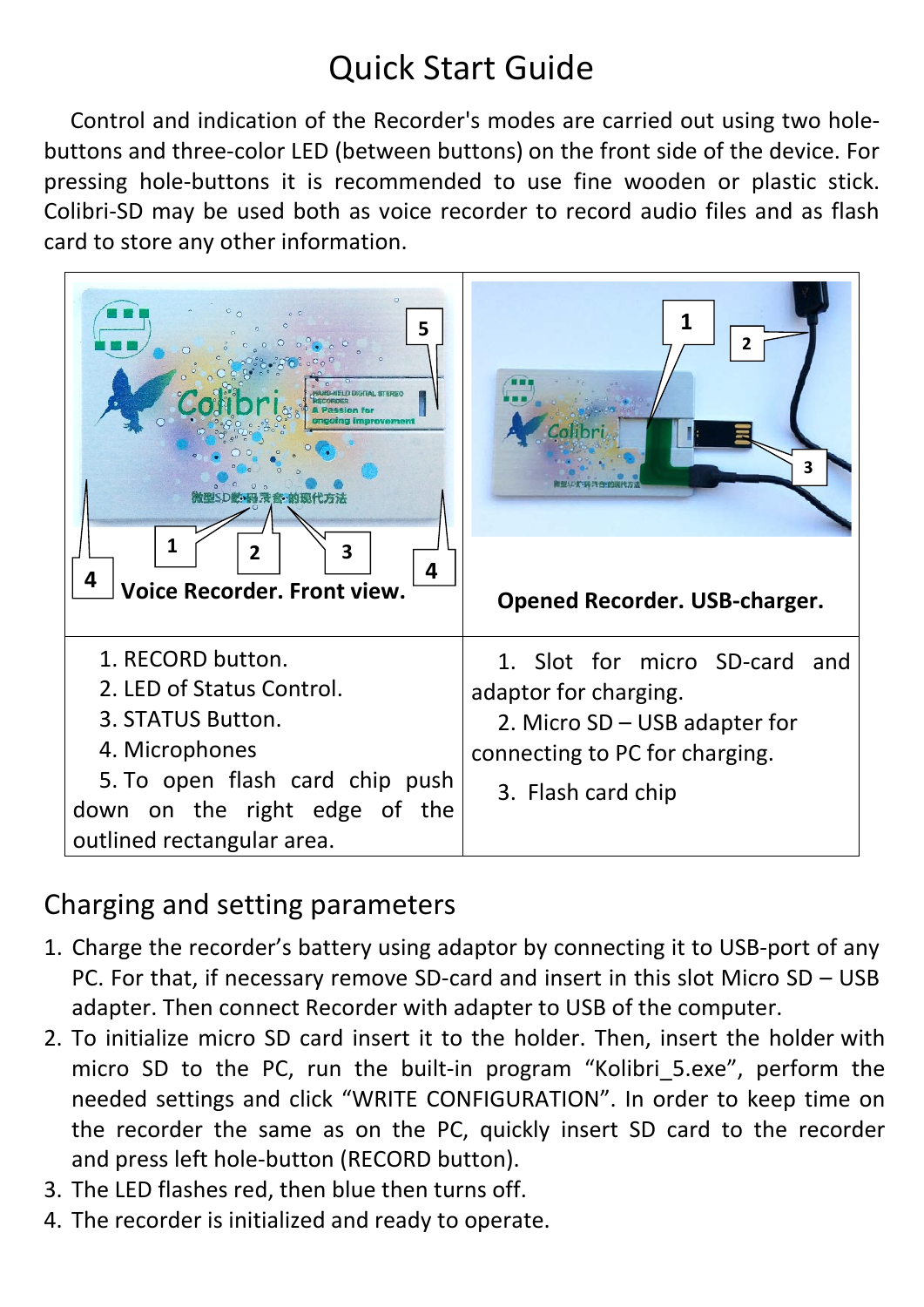# Quick Start Guide

Control and indication of the Recorder's modes are carried out using two holebuttons and three-color LED (between buttons) on the front side of the device. For pressing hole-buttons it is recommended to use fine wooden or plastic stick. Colibri-SD may be used both as voice recorder to record audio files and as flash card to store any other information.



### Charging and setting parameters

- 1. Charge the recorder's battery using adaptor by connecting it to USB-port of any PC. For that, if necessary remove SD-card and insert in this slot Micro SD – USB adapter. Then connect Recorder with adapter to USB of the computer.
- 2. To initialize micro SD card insert it to the holder. Then, insert the holder with micro SD to the PC, run the built-in program "Kolibri 5.exe", perform the needed settings and click "WRITE CONFIGURATION". In order to keep time on the recorder the same as on the PC, quickly insert SD card to the recorder and press left hole-button (RECORD button).
- 3. The LED flashes red, then blue then turns off.
- 4. The recorder is initialized and ready to operate.